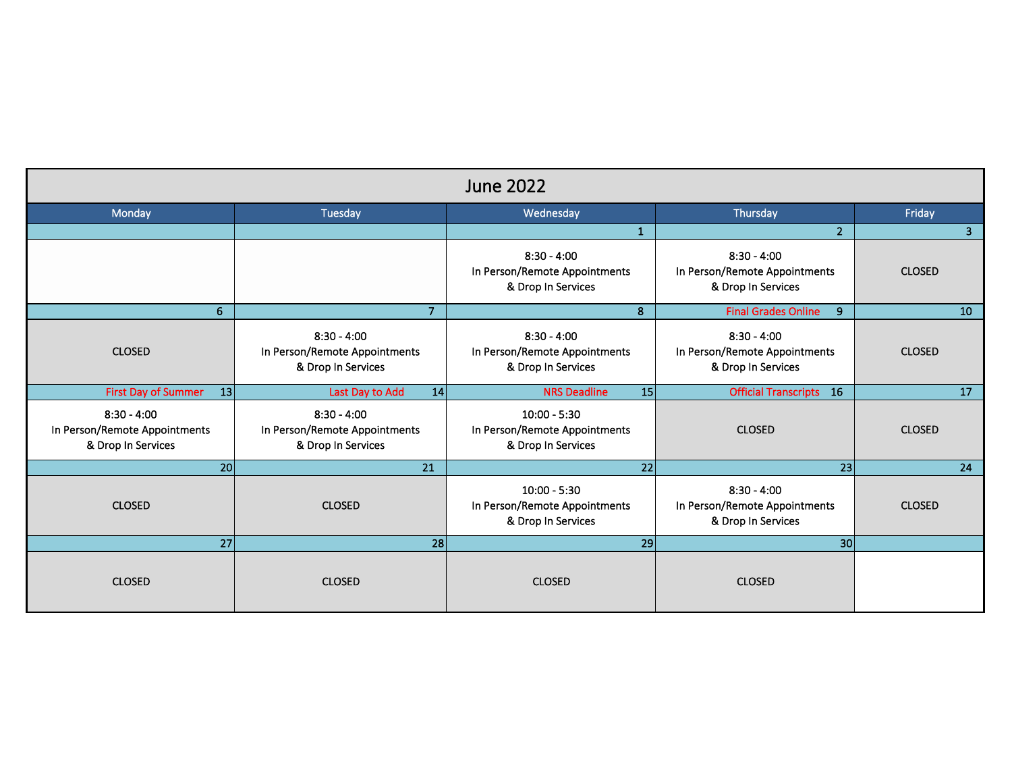| <b>June 2022</b>                                                     |                                                                      |                                                                       |                                                                      |                 |  |  |  |
|----------------------------------------------------------------------|----------------------------------------------------------------------|-----------------------------------------------------------------------|----------------------------------------------------------------------|-----------------|--|--|--|
| Monday                                                               | Tuesday                                                              | Wednesday                                                             | Thursday                                                             | Friday          |  |  |  |
|                                                                      |                                                                      | $\mathbf{1}$                                                          | $\overline{2}$                                                       | $\mathbf{3}$    |  |  |  |
|                                                                      |                                                                      | $8:30 - 4:00$<br>In Person/Remote Appointments<br>& Drop In Services  | $8:30 - 4:00$<br>In Person/Remote Appointments<br>& Drop In Services | <b>CLOSED</b>   |  |  |  |
| 6                                                                    | $\overline{7}$                                                       | 8                                                                     | <b>Final Grades Online</b><br>9                                      | 10 <sup>°</sup> |  |  |  |
| <b>CLOSED</b>                                                        | $8:30 - 4:00$<br>In Person/Remote Appointments<br>& Drop In Services | $8:30 - 4:00$<br>In Person/Remote Appointments<br>& Drop In Services  | $8:30 - 4:00$<br>In Person/Remote Appointments<br>& Drop In Services | <b>CLOSED</b>   |  |  |  |
| <b>First Day of Summer</b><br>13                                     | Last Day to Add<br>14                                                | <b>NRS Deadline</b><br>15                                             | <b>Official Transcripts</b><br>16                                    | 17              |  |  |  |
| $8:30 - 4:00$<br>In Person/Remote Appointments<br>& Drop In Services | $8:30 - 4:00$<br>In Person/Remote Appointments<br>& Drop In Services | $10:00 - 5:30$<br>In Person/Remote Appointments<br>& Drop In Services | <b>CLOSED</b>                                                        | <b>CLOSED</b>   |  |  |  |
| 20                                                                   | 21                                                                   | $\overline{22}$                                                       | 23                                                                   | 24              |  |  |  |
| <b>CLOSED</b>                                                        | <b>CLOSED</b>                                                        | $10:00 - 5:30$<br>In Person/Remote Appointments<br>& Drop In Services | $8:30 - 4:00$<br>In Person/Remote Appointments<br>& Drop In Services | <b>CLOSED</b>   |  |  |  |
| 27                                                                   | 28                                                                   | 29                                                                    | 30 <sup>1</sup>                                                      |                 |  |  |  |
| <b>CLOSED</b>                                                        | <b>CLOSED</b>                                                        | <b>CLOSED</b>                                                         | <b>CLOSED</b>                                                        |                 |  |  |  |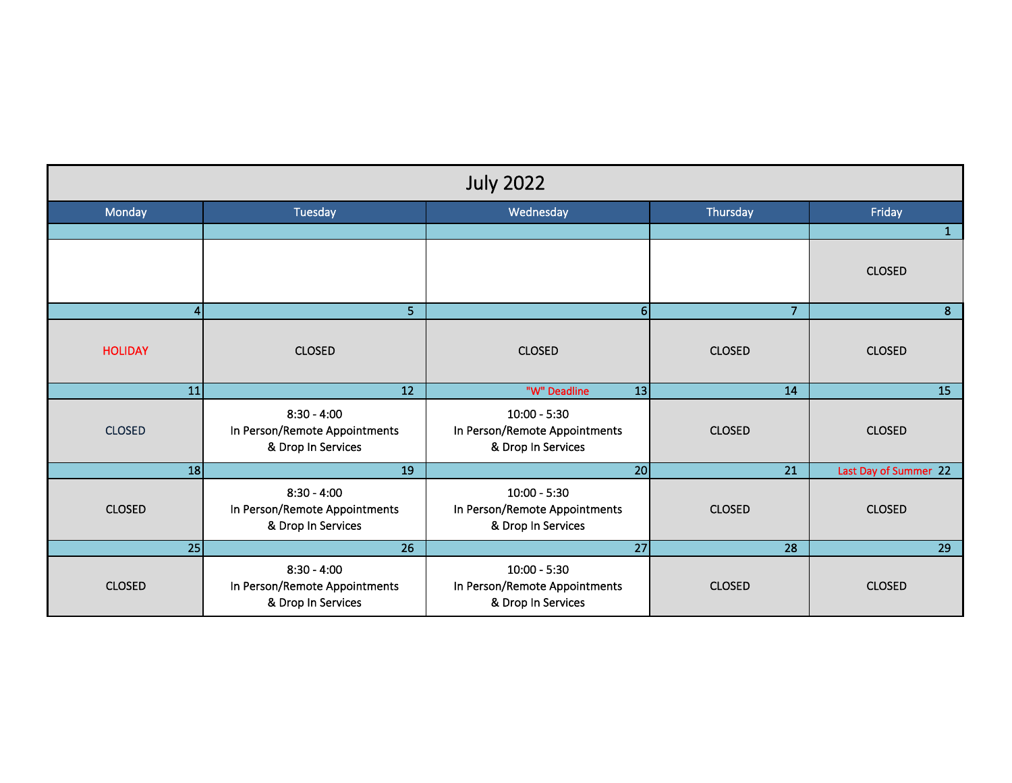| <b>July 2022</b> |                                                                      |                                                                       |                 |                       |  |  |  |
|------------------|----------------------------------------------------------------------|-----------------------------------------------------------------------|-----------------|-----------------------|--|--|--|
| Monday           | Tuesday                                                              | Wednesday                                                             | Thursday        | Friday                |  |  |  |
|                  |                                                                      |                                                                       |                 | $\mathbf{1}$          |  |  |  |
|                  |                                                                      |                                                                       |                 | <b>CLOSED</b>         |  |  |  |
| $\vert$          | 5 <sup>1</sup>                                                       | 6 <sup>1</sup>                                                        | $\overline{7}$  | 8                     |  |  |  |
| <b>HOLIDAY</b>   | <b>CLOSED</b>                                                        | <b>CLOSED</b>                                                         | <b>CLOSED</b>   | <b>CLOSED</b>         |  |  |  |
| 11               | $\overline{12}$                                                      | "W" Deadline<br>13                                                    | 14              | 15                    |  |  |  |
| <b>CLOSED</b>    | $8:30 - 4:00$<br>In Person/Remote Appointments<br>& Drop In Services | $10:00 - 5:30$<br>In Person/Remote Appointments<br>& Drop In Services | <b>CLOSED</b>   | <b>CLOSED</b>         |  |  |  |
| 18               | 19                                                                   | 20                                                                    | $\overline{21}$ | Last Day of Summer 22 |  |  |  |
| <b>CLOSED</b>    | $8:30 - 4:00$<br>In Person/Remote Appointments<br>& Drop In Services | $10:00 - 5:30$<br>In Person/Remote Appointments<br>& Drop In Services | <b>CLOSED</b>   | <b>CLOSED</b>         |  |  |  |
| $\overline{25}$  | $\overline{26}$                                                      | $\overline{27}$                                                       | $\overline{28}$ | 29                    |  |  |  |
| <b>CLOSED</b>    | $8:30 - 4:00$<br>In Person/Remote Appointments<br>& Drop In Services | $10:00 - 5:30$<br>In Person/Remote Appointments<br>& Drop In Services | <b>CLOSED</b>   | <b>CLOSED</b>         |  |  |  |